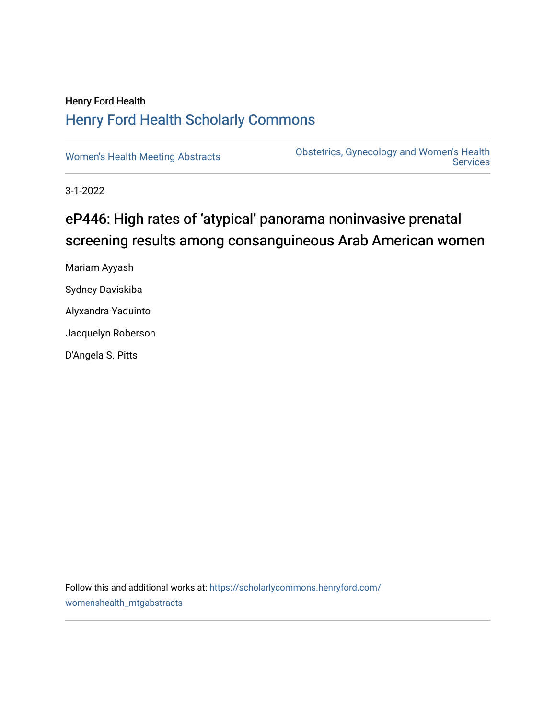## Henry Ford Health [Henry Ford Health Scholarly Commons](https://scholarlycommons.henryford.com/)

[Women's Health Meeting Abstracts](https://scholarlycommons.henryford.com/womenshealth_mtgabstracts) **Obstetrics, Gynecology and Women's Health**<br>Services **Services** 

3-1-2022

# eP446: High rates of 'atypical' panorama noninvasive prenatal screening results among consanguineous Arab American women

Mariam Ayyash Sydney Daviskiba Alyxandra Yaquinto Jacquelyn Roberson D'Angela S. Pitts

Follow this and additional works at: [https://scholarlycommons.henryford.com/](https://scholarlycommons.henryford.com/womenshealth_mtgabstracts?utm_source=scholarlycommons.henryford.com%2Fwomenshealth_mtgabstracts%2F71&utm_medium=PDF&utm_campaign=PDFCoverPages) [womenshealth\\_mtgabstracts](https://scholarlycommons.henryford.com/womenshealth_mtgabstracts?utm_source=scholarlycommons.henryford.com%2Fwomenshealth_mtgabstracts%2F71&utm_medium=PDF&utm_campaign=PDFCoverPages)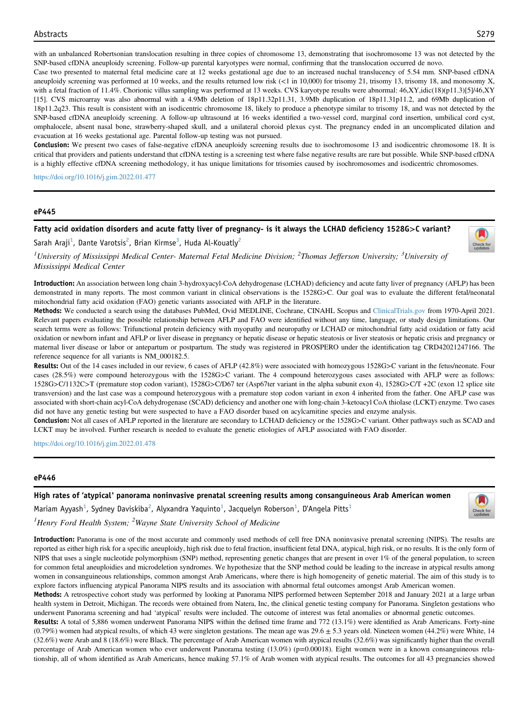with an unbalanced Robertsonian translocation resulting in three copies of chromosome 13, demonstrating that isochromosome 13 was not detected by the SNP-based cfDNA aneuploidy screening. Follow-up parental karyotypes were normal, confirming that the translocation occurred de novo.

Case two presented to maternal fetal medicine care at 12 weeks gestational age due to an increased nuchal translucency of 5.54 mm. SNP-based cfDNA aneuploidy screening was performed at 10 weeks, and the results returned low risk (<1 in 10,000) for trisomy 21, trisomy 13, trisomy 18, and monosomy X, with a fetal fraction of 11.4%. Chorionic villus sampling was performed at 13 weeks. CVS karyotype results were abnormal: 46,XY,idic(18)(p11.3)[5]/46,XY [15]. CVS microarray was also abnormal with a 4.9Mb deletion of 18p11.32p11.31, 3.9Mb duplication of 18p11.31p11.2, and 69Mb duplication of 18p11.2q23. This result is consistent with an isodicentric chromosome 18, likely to produce a phenotype similar to trisomy 18, and was not detected by the SNP-based cfDNA aneuploidy screening. A follow-up ultrasound at 16 weeks identified a two-vessel cord, marginal cord insertion, umbilical cord cyst, omphalocele, absent nasal bone, strawberry-shaped skull, and a unilateral choroid plexus cyst. The pregnancy ended in an uncomplicated dilation and evacuation at 16 weeks gestational age. Parental follow-up testing was not pursued.

Conclusion: We present two cases of false-negative cfDNA aneuploidy screening results due to isochromosome 13 and isodicentric chromosome 18. It is critical that providers and patients understand that cfDNA testing is a screening test where false negative results are rare but possible. While SNP-based cfDNA is a highly effective cfDNA screening methodology, it has unique limitations for trisomies caused by isochromosomes and isodicentric chromosomes.

<https://doi.org/10.1016/j.gim.2022.01.477>

#### eP445

### Fatty acid oxidation disorders and acute fatty liver of pregnancy- is it always the LCHAD deficiency 1528G>C variant?

Sarah Araji<sup>[1](#page-1-0)</sup>, Dante Varotsis<sup>[2](#page-1-0)</sup>, Brian Kirmse<sup>[3](#page-1-0)</sup>, Huda Al-Kouatly<sup>2</sup>



<span id="page-1-0"></span><sup>1</sup>University of Mississippi Medical Center- Maternal Fetal Medicine Division: <sup>2</sup>Thomas Jefferson University: <sup>3</sup>University of Mississippi Medical Center

Introduction: An association between long chain 3-hydroxyacyl-CoA dehydrogenase (LCHAD) deficiency and acute fatty liver of pregnancy (AFLP) has been demonstrated in many reports. The most common variant in clinical observations is the 1528G>C. Our goal was to evaluate the different fetal/neonatal mitochondrial fatty acid oxidation (FAO) genetic variants associated with AFLP in the literature.

Methods: We conducted a search using the databases PubMed, Ovid MEDLINE, Cochrane, CINAHL Scopus and [ClinicalTrials.gov](http://ClinicalTrials.gov) from 1970-April 2021. Relevant papers evaluating the possible relationship between AFLP and FAO were identified without any time, language, or study design limitations. Our search terms were as follows: Trifunctional protein deficiency with myopathy and neuropathy or LCHAD or mitochondrial fatty acid oxidation or fatty acid oxidation or newborn infant and AFLP or liver disease in pregnancy or hepatic disease or hepatic steatosis or liver steatosis or hepatic crisis and pregnancy or maternal liver disease or labor or antepartum or postpartum. The study was registered in PROSPERO under the identification tag CRD42021247166. The reference sequence for all variants is NM\_000182.5.

Results: Out of the 14 cases included in our review, 6 cases of AFLP (42.8%) were associated with homozygous 1528G>C variant in the fetus/neonate. Four cases (28.5%) were compound heterozygous with the 1528G>C variant. The 4 compound heterozygous cases associated with AFLP were as follows: 1528G>C/1132C>T (premature stop codon variant), 1528G>C/D67 ter (Asp67ter variant in the alpha subunit exon 4), 1528G>C/T +2C (exon 12 splice site transversion) and the last case was a compound heterozygous with a premature stop codon variant in exon 4 inherited from the father. One AFLP case was associated with short-chain acyl-CoA dehydrogenase (SCAD) deficiency and another one with long-chain 3-ketoacyl CoA thiolase (LCKT) enzyme. Two cases did not have any genetic testing but were suspected to have a FAO disorder based on acylcarnitine species and enzyme analysis.

Conclusion: Not all cases of AFLP reported in the literature are secondary to LCHAD deficiency or the 1528G>C variant. Other pathways such as SCAD and LCKT may be involved. Further research is needed to evaluate the genetic etiologies of AFLP associated with FAO disorder.

<https://doi.org/10.1016/j.gim.2022.01.478>

#### eP446

High rates of 'atypical' panorama noninvasive prenatal screening results among consanguineous Arab American women



<span id="page-1-1"></span>Mariam Ayyash $^1$  $^1$ , Sydney Daviskiba $^2$  $^2$ , Alyxandra Yaquinto $^1$ , Jacquelyn Roberson $^1$ , D'Angela Pitts $^1$  $1$ Henry Ford Health System:  $2$ Wayne State University School of Medicine

Introduction: Panorama is one of the most accurate and commonly used methods of cell free DNA noninvasive prenatal screening (NIPS). The results are reported as either high risk for a specific aneuploidy, high risk due to fetal fraction, insufficient fetal DNA, atypical, high risk, or no results. It is the only form of NIPS that uses a single nucleotide polymorphism (SNP) method, representing genetic changes that are present in over 1% of the general population, to screen for common fetal aneuploidies and microdeletion syndromes. We hypothesize that the SNP method could be leading to the increase in atypical results among women in consanguineous relationships, common amongst Arab Americans, where there is high homogeneity of genetic material. The aim of this study is to

explore factors influencing atypical Panorama NIPS results and its association with abnormal fetal outcomes amongst Arab American women. Methods: A retrospective cohort study was performed by looking at Panorama NIPS performed between September 2018 and January 2021 at a large urban health system in Detroit, Michigan. The records were obtained from Natera, Inc, the clinical genetic testing company for Panorama. Singleton gestations who<br>health system in Detroit, Michigan. The records were obtained from

Results: A total of 5,886 women underwent Panorama NIPS within the defined time frame and 772 (13.1%) were identified as Arab Americans. Forty-nine  $(0.79%)$  women had atypical results, of which 43 were singleton gestations. The mean age was  $29.6 \pm 5.3$  years old. Nineteen women  $(44.2%)$  were White, 14 (32.6%) were Arab and 8 (18.6%) were Black. The percentage of Arab American women with atypical results (32.6%) was significantly higher than the overall percentage of Arab American women who ever underwent Panorama testing (13.0%) (p=0.00018). Eight women were in a known consanguineous relationship, all of whom identified as Arab Americans, hence making 57.1% of Arab women with atypical results. The outcomes for all 43 pregnancies showed